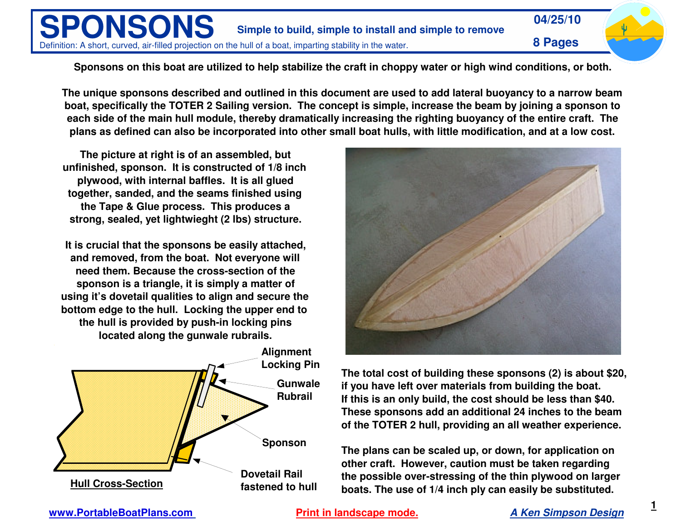

Sponsons on this boat are utilized to help stabilize the craft in choppy water or high wind conditions, or both.

The unique sponsons described and outlined in this document are used to add lateral buoyancy to a narrow beam boat, specifically the TOTER 2 Sailing version. The concept is simple, increase the beam by joining a sponson to each side of the main hull module, thereby dramatically increasing the righting buoyancy of the entire craft. The plans as defined can also be incorporated into other small boat hulls, with little modification, and at a low cost.

**The picture at right is of an assembled, but unfinished, sponson. It is constructed of 1/8 inch plywood, with internal baffles. It is all glued together, sanded, and the seams finished using the Tape & Glue process. This produces <sup>a</sup> strong, sealed, yet lightwieght (2 lbs) structure.**

**It is crucial that the sponsons be easily attached, and removed, from the boat. Not everyone will need them. Because the cross-section of the sponson is <sup>a</sup> triangle, it is simply <sup>a</sup> matter of using it's dovetail qualities to align and secure the bottom edge to the hull. Locking the upper end to the hull is provided by push-in locking pins located along the gunwale rubrails.**





**The total cost of building these sponsons (2) is about \$20, if you have left over materials from building the boat. If this is an only build, the cost should be less than \$40. These sponsons add an additional 24 inches to the beam of the TOTER 2 hull, providing an all weather experience.**

**The plans can be scaled up, or down, for application on other craft. However, caution must be taken regarding the possible over-stressing of the thin plywood on larger boats. The use of 1/4 inch ply can easily be substituted.**

**www.PortableBoatPlans.com**

*A Ken Simpson Design* **Print in landscape mode.**

**1**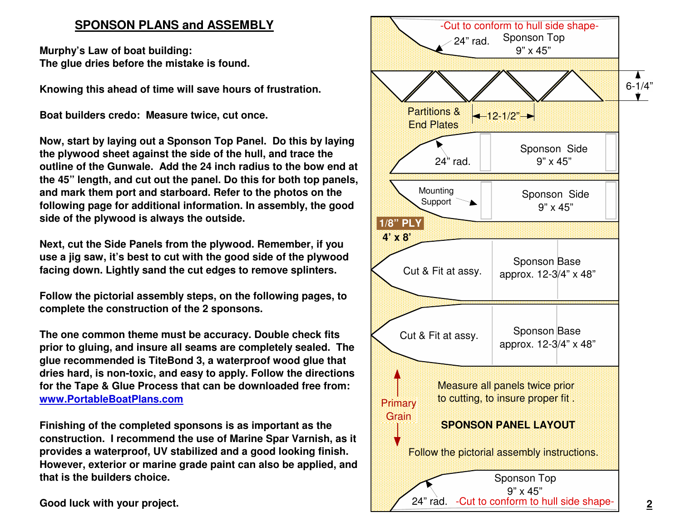# **SPONSON PLANS and ASSEMBLY**

**Murphy's Law of boat building: The glue dries before the mistake is found.**

**Knowing this ahead of time will save hours of frustration.**

**Boat builders credo: Measure twice, cut once.**

**Now, start by laying out <sup>a</sup> Sponson Top Panel. Do this by laying the plywood sheet against the side of the hull, and trace the outline of the Gunwale. Add the 24 inch radius to the bow end at the 45" length, and cut out the panel. Do this for both top panels, and mark them port and starboard. Refer to the photos on the following page for additional information. In assembly, the good side of the plywood is always the outside.**

**Next, cut the Side Panels from the plywood. Remember, if you use <sup>a</sup> jig saw, it's best to cut with the good side of the plywood facing down. Lightly sand the cut edges to remove splinters.**

**Follow the pictorial assembly steps, on the following pages, to complete the construction of the 2 sponsons.**

**The one common theme must be accuracy. Double check fits prior to gluing, and insure all seams are completely sealed. The glue recommended is TiteBond 3, <sup>a</sup> waterproof wood glue that dries hard, is non-toxic, and easy to apply. Follow the directions for the Tape & Glue Process that can be downloaded free from: www.PortableBoatPlans.com**

**Finishing of the completed sponsons is as important as the construction. I recommend the use of Marine Spar Varnish, as it provides <sup>a</sup> waterproof, UV stabilized and <sup>a</sup> good looking finish. However, exterior or marine grade paint can also be applied, and that is the builders choice.**

**Good luck with your project.**

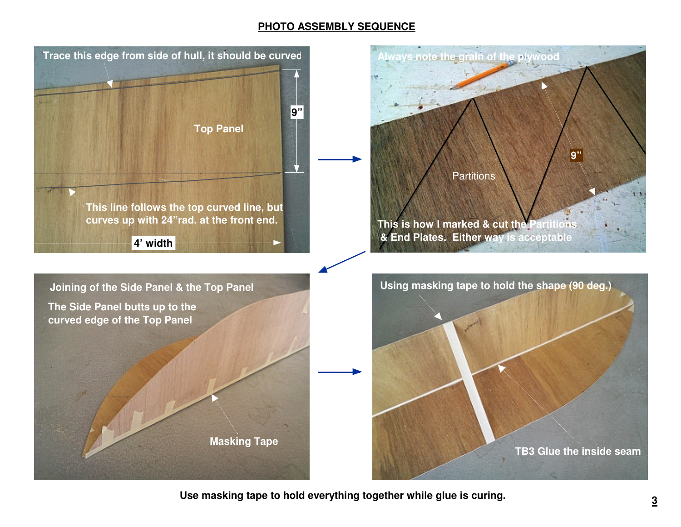## **PHOTO ASSEMBLY SEQUENCE**



**Use masking tape to hold everything together while glue is curing.**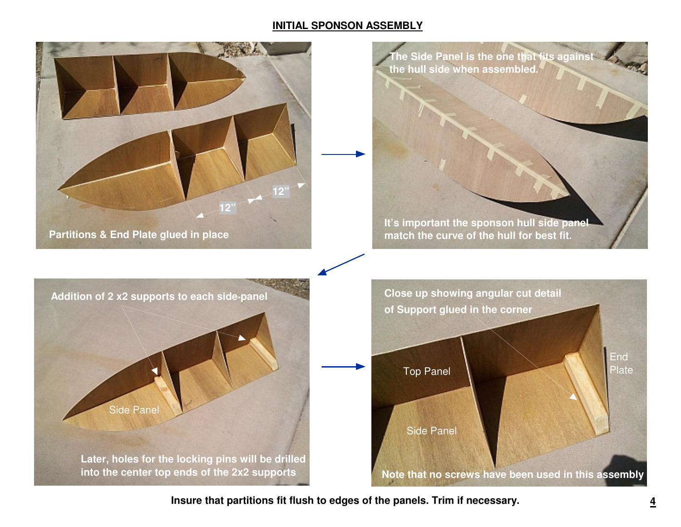## **INITIAL SPONSON ASSEMBLY**



**Insure that partitions fit flush to edges of the panels. Trim if necessary.**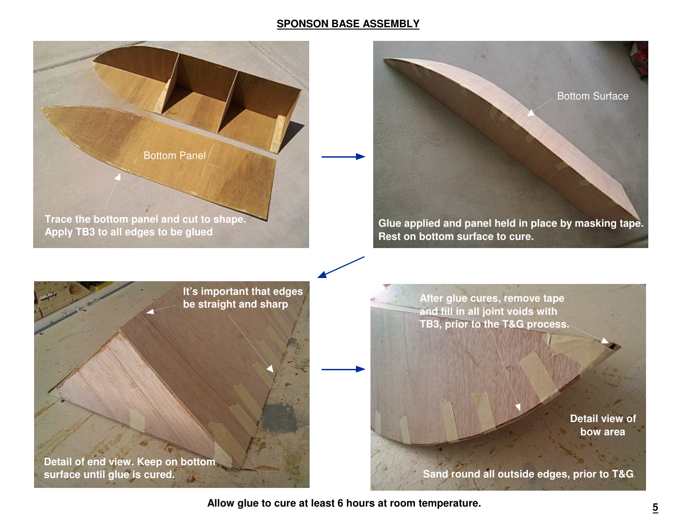#### **SPONSON BASE ASSEMBLY**



**Allow glue to cure at least 6 hours at room temperature.**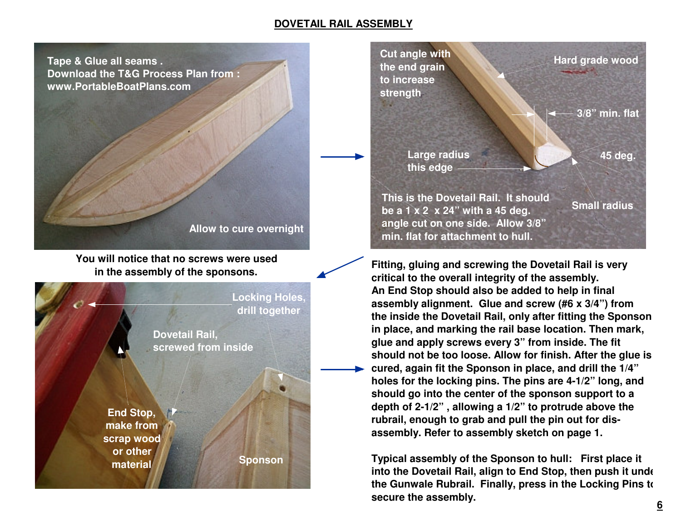#### **DOVETAIL RAIL ASSEMBLY**

**Tape & Glue all seams . Download the T&G Process Plan from : www.PortableBoatPlans.com**

**Allow to cure overnight**

**You will notice that no screws were used in the assembly of the sponsons.**





**Fitting, gluing and screwing the Dovetail Rail is very critical to the overall integrity of the assembly. An End Stop should also be added to help in final assembly alignment. Glue and screw (#6 <sup>x</sup> 3/4") from the inside the Dovetail Rail, only after fitting the Sponson in place, and marking the rail base location. Then mark, glue and apply screws every 3" from inside. The fit should not be too loose. Allow for finish. After the glue is cured, again fit the Sponson in place, and drill the 1/4" holes for the locking pins. The pins are 4-1/2" long, and should go into the center of the sponson support to <sup>a</sup> depth of 2-1/2" , allowing <sup>a</sup> 1/2" to protrude above the rubrail, enough to grab and pull the pin out for disassembly. Refer to assembly sketch on page 1.**

**Typical assembly of the Sponson to hull: First place it into the Dovetail Rail, align to End Stop, then push it under the Gunwale Rubrail. Finally, press in the Locking Pins to secure the assembly.**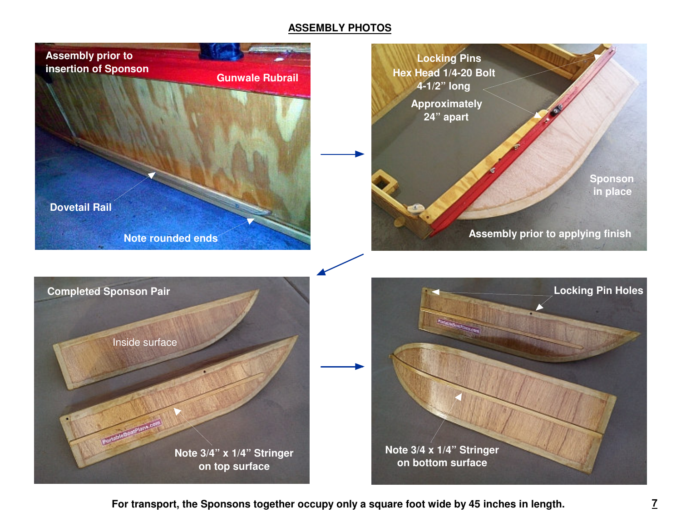## **ASSEMBLY PHOTOS**



**For transport, the Sponsons together occupy only <sup>a</sup> square foot wide by 45 inches in length.**